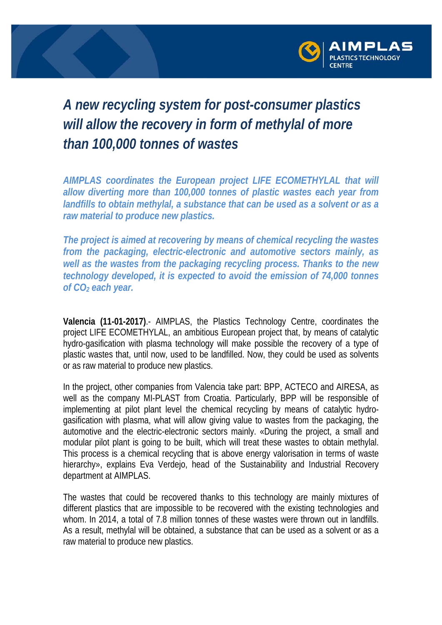

## *A new recycling system for post-consumer plastics will allow the recovery in form of methylal of more than 100,000 tonnes of wastes*

*AIMPLAS coordinates the European project LIFE ECOMETHYLAL that will allow diverting more than 100,000 tonnes of plastic wastes each year from landfills to obtain methylal, a substance that can be used as a solvent or as a raw material to produce new plastics.* 

*The project is aimed at recovering by means of chemical recycling the wastes from the packaging, electric-electronic and automotive sectors mainly, as well as the wastes from the packaging recycling process. Thanks to the new technology developed, it is expected to avoid the emission of 74,000 tonnes of CO2 each year.* 

**Valencia (11-01-2017)**.- AIMPLAS, the Plastics Technology Centre, coordinates the project LIFE ECOMETHYLAL, an ambitious European project that, by means of catalytic hydro-gasification with plasma technology will make possible the recovery of a type of plastic wastes that, until now, used to be landfilled. Now, they could be used as solvents or as raw material to produce new plastics.

In the project, other companies from Valencia take part: BPP, ACTECO and AIRESA, as well as the company MI-PLAST from Croatia. Particularly, BPP will be responsible of implementing at pilot plant level the chemical recycling by means of catalytic hydrogasification with plasma, what will allow giving value to wastes from the packaging, the automotive and the electric-electronic sectors mainly. «During the project, a small and modular pilot plant is going to be built, which will treat these wastes to obtain methylal. This process is a chemical recycling that is above energy valorisation in terms of waste hierarchy», explains Eva Verdejo, head of the Sustainability and Industrial Recovery department at AIMPLAS.

The wastes that could be recovered thanks to this technology are mainly mixtures of different plastics that are impossible to be recovered with the existing technologies and whom. In 2014, a total of 7.8 million tonnes of these wastes were thrown out in landfills. As a result, methylal will be obtained, a substance that can be used as a solvent or as a raw material to produce new plastics.